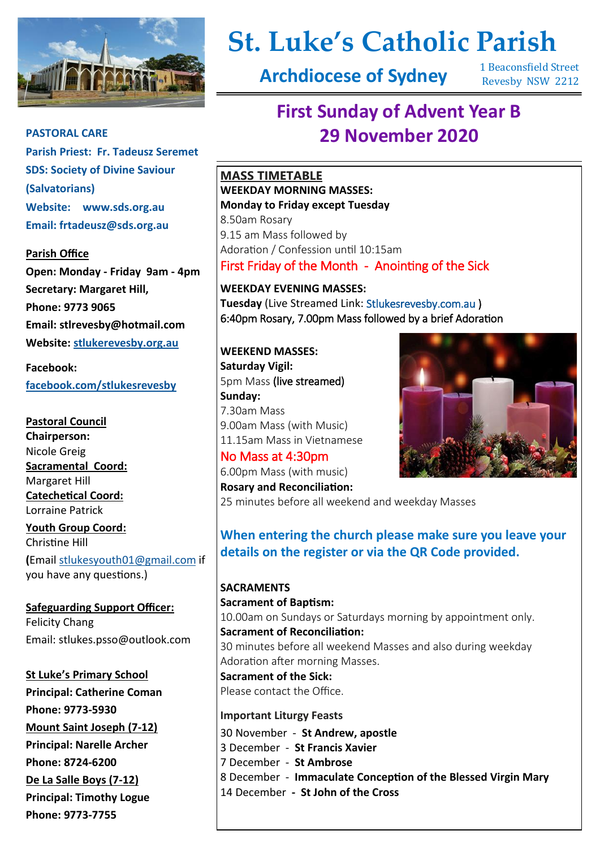

# **St. Luke's Catholic Parish**

**Archdiocese of Sydney**

1 Beaconsfield Street Revesby NSW 2212

# **First Sunday of Advent Year B PASTORAL CARE 29 November 2020**

**MASS TIMETABLE WEEKDAY MORNING MASSES: Monday to Friday except Tuesday** 8.50am Rosary 9.15 am Mass followed by Adoration / Confession until 10:15am

First Friday of the Month - Anointing of the Sick

**WEEKDAY EVENING MASSES: Tuesday** (Live Streamed Link: [Stlukesrevesby.com.au \)](https://www.youtube.com/channel/UCHVfQ4lbu4ZeKLSbn5UluNQ) 6:40pm Rosary, 7.00pm Mass followed by a brief Adoration

**WEEKEND MASSES: Saturday Vigil:** 5pm Mass (live streamed) **Sunday:**  7.30am Mass 9.00am Mass (with Music) 11.15am Mass in Vietnamese

No Mass at 4:30pm 6.00pm Mass (with music) **Rosary and Reconciliation:** 25 minutes before all weekend and weekday Masses

**When entering the church please make sure you leave your details on the register or via the QR Code provided.**

**SACRAMENTS Sacrament of Baptism:**  10.00am on Sundays or Saturdays morning by appointment only. **Sacrament of Reconciliation:**  30 minutes before all weekend Masses and also during weekday Adoration after morning Masses. **Sacrament of the Sick:**  Please contact the Office. **Important Liturgy Feasts**  30 November - **St Andrew, apostle**

3 December - **St Francis Xavier** 7 December - **St Ambrose** 8 December - **Immaculate Conception of the Blessed Virgin Mary** 14 December **- St John of the Cross**

**Parish Priest: Fr. Tadeusz Seremet SDS: Society of Divine Saviour (Salvatorians) Website: www.sds.org.au Email: frtadeusz@sds.org.au**

#### **Parish Office**

**Open: Monday - Friday 9am - 4pm Secretary: Margaret Hill, Phone: 9773 9065 Email: stlrevesby@hotmail.com Website: [stlukerevesby.org.au](https://www.stlukerevesby.org.au/)**

**Facebook:** 

**[facebook.com/stlukesrevesby](http://www.facebook.com/stlukesrevesby)**

**Pastoral Council Chairperson:**  Nicole Greig **Sacramental Coord:**  Margaret Hill **Catechetical Coord:**  Lorraine Patrick **Youth Group Coord:**  Christine Hill **(**Email [stlukesyouth01@gmail.com](mailto:stlukesyouth01@gmail.com) if you have any questions.)

**Safeguarding Support Officer:**  Felicity Chang Email: stlukes.psso@outlook.com

**St Luke's Primary School Principal: Catherine Coman Phone: 9773-5930 Mount Saint Joseph (7-12) Principal: Narelle Archer Phone: 8724-6200 De La Salle Boys (7-12) Principal: Timothy Logue Phone: 9773-7755** 

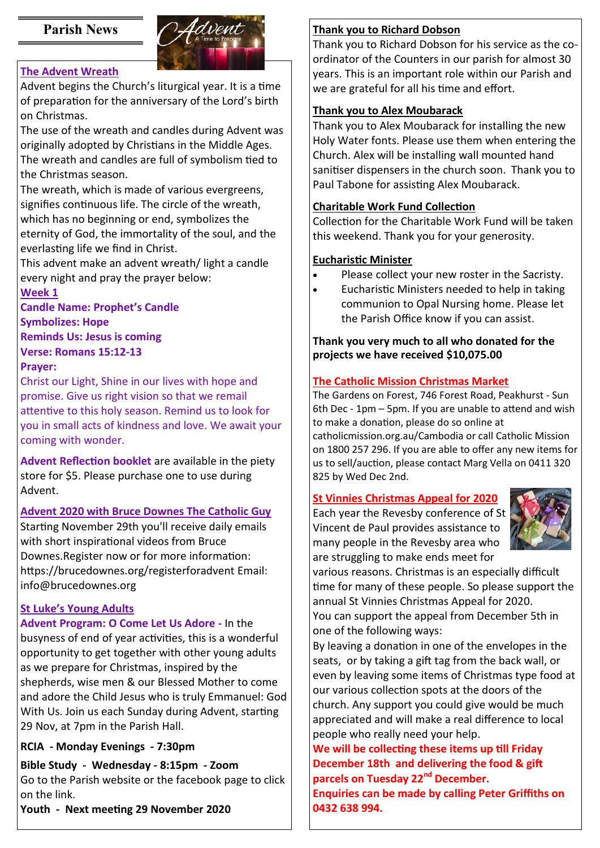# **Parish News**



# **The Advent Wreath**

Advent begins the Church's liturgical year. It is a time of preparation for the anniversary of the Lord's birth on Christmas.

The use of the wreath and candles during Advent was originally adopted by Christians in the Middle Ages. The wreath and candles are full of symbolism tied to the Christmas season.

The wreath, which is made of various evergreens, signifies continuous life. The circle of the wreath, which has no beginning or end, symbolizes the eternity of God, the immortality of the soul, and the everlasting life we find in Christ.

This advent make an advent wreath/ light a candle every night and pray the prayer below:

#### **Week 1**

**Candle Name: Prophet's Candle Symbolizes: Hope Reminds Us: Jesus is coming Verse: Romans 15:12-13 Prayer:** 

Christ our Light, Shine in our lives with hope and promise. Give us right vision so that we remail attentive to this holy season. Remind us to look for you in small acts of kindness and love. We await your coming with wonder.

**Advent Reflection booklet** are available in the piety store for \$5. Please purchase one to use during Advent.

## **Advent 2020 with Bruce Downes The Catholic Guy**

Starting November 29th you'll receive daily emails with short inspirational videos from Bruce Downes.Register now or for more information: https://brucedownes.org/registerforadvent Email: info@brucedownes.org

## **St Luke's Young Adults**

**Advent Program: O Come Let Us Adore -** In the busyness of end of year activities, this is a wonderful opportunity to get together with other young adults as we prepare for Christmas, inspired by the shepherds, wise men & our Blessed Mother to come and adore the Child Jesus who is truly Emmanuel: God With Us. Join us each Sunday during Advent, starting 29 Nov, at 7pm in the Parish Hall.

# **RCIA - Monday Evenings - 7:30pm**

**Bible Study - Wednesday - 8:15pm - Zoom**  Go to the Parish website or the facebook page to click on the link.

**Youth - Next meeting 29 November 2020**

# **Thank you to Richard Dobson**

Thank you to Richard Dobson for his service as the coordinator of the Counters in our parish for almost 30 years. This is an important role within our Parish and we are grateful for all his time and effort.

# **Thank you to Alex Moubarack**

Thank you to Alex Moubarack for installing the new Holy Water fonts. Please use them when entering the Church. Alex will be installing wall mounted hand sanitiser dispensers in the church soon. Thank you to Paul Tabone for assisting Alex Moubarack.

# **Charitable Work Fund Collection**

Collection for the Charitable Work Fund will be taken this weekend. Thank you for your generosity.

# **Eucharistic Minister**

- Please collect your new roster in the Sacristy.
- Eucharistic Ministers needed to help in taking communion to Opal Nursing home. Please let the Parish Office know if you can assist.

# **Thank you very much to all who donated for the projects we have received \$10,075.00**

# **The Catholic Mission Christmas Market**

The Gardens on Forest, 746 Forest Road, Peakhurst - Sun 6th Dec - 1pm – 5pm. If you are unable to attend and wish to make a donation, please do so online at catholicmission.org.au/Cambodia or call Catholic Mission

on 1800 257 296. If you are able to offer any new items for us to sell/auction, please contact Marg Vella on 0411 320 825 by Wed Dec 2nd.

# **St Vinnies Christmas Appeal for 2020**

Each year the Revesby conference of St Vincent de Paul provides assistance to many people in the Revesby area who are struggling to make ends meet for



various reasons. Christmas is an especially difficult time for many of these people. So please support the annual St Vinnies Christmas Appeal for 2020. You can support the appeal from December 5th in one of the following ways:

By leaving a donation in one of the envelopes in the seats, or by taking a gift tag from the back wall, or even by leaving some items of Christmas type food at our various collection spots at the doors of the church. Any support you could give would be much appreciated and will make a real difference to local people who really need your help.

**We will be collecting these items up till Friday December 18th and delivering the food & gift parcels on Tuesday 22nd December. Enquiries can be made by calling Peter Griffiths on 0432 638 994.**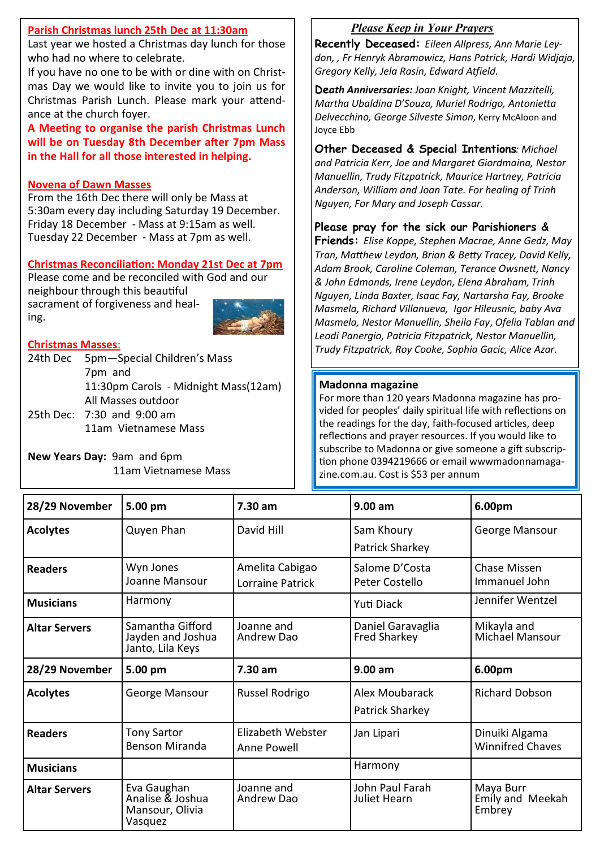#### **Parish Christmas lunch 25th Dec at 11:30am**

Last year we hosted a Christmas day lunch for those who had no where to celebrate.

If you have no one to be with or dine with on Christmas Day we would like to invite you to join us for Christmas Parish Lunch. Please mark your attendance at the church foyer.

**A Meeting to organise the parish Christmas Lunch will be on Tuesday 8th December after 7pm Mass in the Hall for all those interested in helping.**

#### **Novena of Dawn Masses**

From the 16th Dec there will only be Mass at 5:30am every day including Saturday 19 December. Friday 18 December - Mass at 9:15am as well. Tuesday 22 December - Mass at 7pm as well.

#### **Christmas Reconciliation: Monday 21st Dec at 7pm**

Please come and be reconciled with God and our neighbour through this beautiful sacrament of forgiveness and healing.



#### **Christmas Masses**:

24th Dec 5pm—Special Children's Mass 7pm and 11:30pm Carols - Midnight Mass(12am) All Masses outdoor 25th Dec: 7:30 and 9:00 am

11am Vietnamese Mass

**New Years Day:** 9am and 6pm 11am Vietnamese Mass

# *Please Keep in Your Prayers*

**Recently Deceased:** *Eileen Allpress, Ann Marie Leydon, , Fr Henryk Abramowicz, Hans Patrick, Hardi Widjaja, Gregory Kelly, Jela Rasin, Edward Atfield.*

**De***ath Anniversaries: Joan Knight, Vincent Mazzitelli, Martha Ubaldina D'Souza, Muriel Rodrigo, Antonietta Delvecchino, George Silveste Simon,* Kerry McAloon and Joyce Ebb

**Other Deceased & Special Intentions***: Michael and Patricia Kerr, Joe and Margaret Giordmaina, Nestor Manuellin, Trudy Fitzpatrick, Maurice Hartney, Patricia Anderson, William and Joan Tate. For healing of Trinh Nguyen, For Mary and Joseph Cassar.*

#### **Please pray for the sick our Parishioners &**

**Friends:** *Elise Koppe, Stephen Macrae, Anne Gedz, May Tran, Matthew Leydon, Brian & Betty Tracey, David Kelly, Adam Brook, Caroline Coleman, Terance Owsnett, Nancy & John Edmonds, Irene Leydon, Elena Abraham, Trinh Nguyen, Linda Baxter, Isaac Fay, Nartarsha Fay, Brooke Masmela, Richard Villanueva, Igor Hileusnic, baby Ava Masmela, Nestor Manuellin, Sheila Fay*, *Ofelia Tablan and Leodi Panergio, Patricia Fitzpatrick, Nestor Manuellin, Trudy Fitzpatrick, Roy Cooke, Sophia Gacic, Alice Azar.*

#### **Madonna magazine**

For more than 120 years Madonna magazine has provided for peoples' daily spiritual life with reflections on the readings for the day, faith-focused articles, deep reflections and prayer resources. If you would like to subscribe to Madonna or give someone a gift subscription phone 0394219666 or email wwwmadonnamagazine.com.au. Cost is \$53 per annum

| 28/29 November       | 5.00 pm                                                       | 7.30 am                             | 9.00 am                                  | 6.00pm                                    |
|----------------------|---------------------------------------------------------------|-------------------------------------|------------------------------------------|-------------------------------------------|
| <b>Acolytes</b>      | Quyen Phan                                                    | David Hill                          | Sam Khoury<br>Patrick Sharkey            | George Mansour                            |
| <b>Readers</b>       | Wyn Jones<br>Joanne Mansour                                   | Amelita Cabigao<br>Lorraine Patrick | Salome D'Costa<br>Peter Costello         | Chase Missen<br>Immanuel John             |
| <b>Musicians</b>     | Harmony                                                       |                                     | Yuti Diack                               | Jennifer Wentzel                          |
| <b>Altar Servers</b> | Samantha Gifford<br>Jayden and Joshua<br>Janto, Lila Keys     | Joanne and<br>Andrew Dao            | Daniel Garavaglia<br><b>Fred Sharkey</b> | Mikayla and<br>Michael Mansour            |
| 28/29 November       | 5.00 pm                                                       | 7.30 am                             | 9.00 am                                  | 6.00pm                                    |
| <b>Acolytes</b>      | George Mansour                                                | Russel Rodrigo                      | Alex Moubarack<br>Patrick Sharkey        | <b>Richard Dobson</b>                     |
| <b>Readers</b>       | <b>Tony Sartor</b><br><b>Benson Miranda</b>                   | Elizabeth Webster<br>Anne Powell    | Jan Lipari                               | Dinuiki Algama<br><b>Winnifred Chaves</b> |
| <b>Musicians</b>     |                                                               |                                     | Harmony                                  |                                           |
| <b>Altar Servers</b> | Eva Gaughan<br>Analise & Joshua<br>Mansour, Olivia<br>Vasquez | Joanne and<br>Andrew Dao            | John Paul Farah<br>Juliet Hearn          | Maya Burr<br>Emily and Meekah<br>Embrey   |